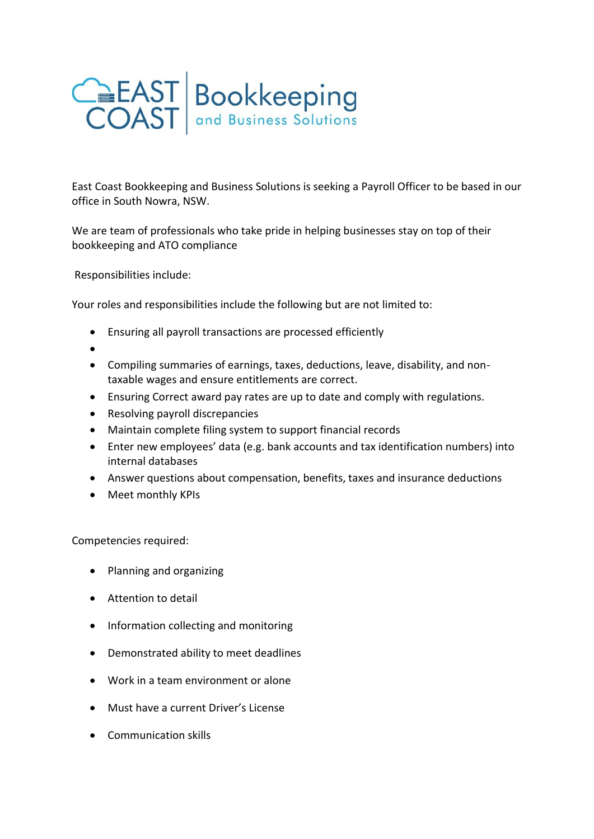

East Coast Bookkeeping and Business Solutions is seeking a Payroll Officer to be based in our office in South Nowra, NSW.

We are team of professionals who take pride in helping businesses stay on top of their bookkeeping and ATO compliance

Responsibilities include:

Your roles and responsibilities include the following but are not limited to:

- Ensuring all payroll transactions are processed efficiently
- •
- Compiling summaries of earnings, taxes, deductions, leave, disability, and nontaxable wages and ensure entitlements are correct.
- Ensuring Correct award pay rates are up to date and comply with regulations.
- Resolving payroll discrepancies
- Maintain complete filing system to support financial records
- Enter new employees' data (e.g. bank accounts and tax identification numbers) into internal databases
- Answer questions about compensation, benefits, taxes and insurance deductions
- Meet monthly KPIs

Competencies required:

- Planning and organizing
- Attention to detail
- Information collecting and monitoring
- Demonstrated ability to meet deadlines
- Work in a team environment or alone
- Must have a current Driver's License
- Communication skills